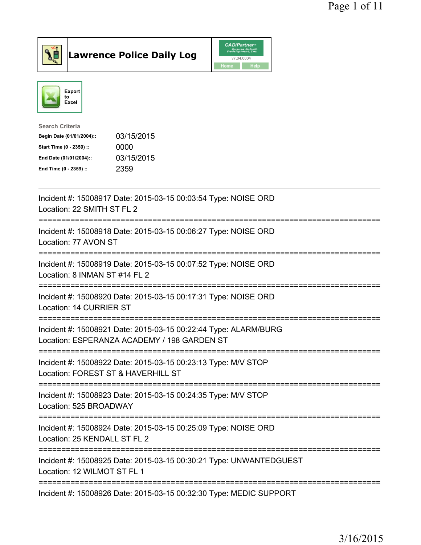



| 03/15/2015 |
|------------|
| 0000       |
| 03/15/2015 |
| 2359       |
|            |

| Incident #: 15008917 Date: 2015-03-15 00:03:54 Type: NOISE ORD<br>Location: 22 SMITH ST FL 2                                                                 |
|--------------------------------------------------------------------------------------------------------------------------------------------------------------|
| Incident #: 15008918 Date: 2015-03-15 00:06:27 Type: NOISE ORD<br>Location: 77 AVON ST                                                                       |
| Incident #: 15008919 Date: 2015-03-15 00:07:52 Type: NOISE ORD<br>Location: 8 INMAN ST #14 FL 2                                                              |
| Incident #: 15008920 Date: 2015-03-15 00:17:31 Type: NOISE ORD<br>Location: 14 CURRIER ST<br>---------------                                                 |
| Incident #: 15008921 Date: 2015-03-15 00:22:44 Type: ALARM/BURG<br>Location: ESPERANZA ACADEMY / 198 GARDEN ST<br>-------------------------<br>------------- |
| Incident #: 15008922 Date: 2015-03-15 00:23:13 Type: M/V STOP<br>Location: FOREST ST & HAVERHILL ST                                                          |
| Incident #: 15008923 Date: 2015-03-15 00:24:35 Type: M/V STOP<br>Location: 525 BROADWAY<br>-----------------                                                 |
| Incident #: 15008924 Date: 2015-03-15 00:25:09 Type: NOISE ORD<br>Location: 25 KENDALL ST FL 2                                                               |
| Incident #: 15008925 Date: 2015-03-15 00:30:21 Type: UNWANTEDGUEST<br>Location: 12 WILMOT ST FL 1                                                            |
| Incident #: 15008926 Date: 2015-03-15 00:32:30 Type: MEDIC SUPPORT                                                                                           |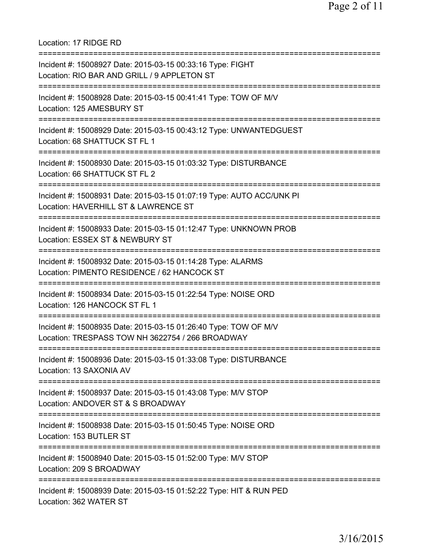=========================================================================== Incident #: 15008927 Date: 2015-03-15 00:33:16 Type: FIGHT Location: RIO BAR AND GRILL / 9 APPLETON ST =========================================================================== Incident #: 15008928 Date: 2015-03-15 00:41:41 Type: TOW OF M/V Location: 125 AMESBURY ST =========================================================================== Incident #: 15008929 Date: 2015-03-15 00:43:12 Type: UNWANTEDGUEST Location: 68 SHATTUCK ST FL 1 =========================================================================== Incident #: 15008930 Date: 2015-03-15 01:03:32 Type: DISTURBANCE Location: 66 SHATTUCK ST FL 2 =========================================================================== Incident #: 15008931 Date: 2015-03-15 01:07:19 Type: AUTO ACC/UNK PI Location: HAVERHILL ST & LAWRENCE ST =========================================================================== Incident #: 15008933 Date: 2015-03-15 01:12:47 Type: UNKNOWN PROB Location: ESSEX ST & NEWBURY ST =========================================================================== Incident #: 15008932 Date: 2015-03-15 01:14:28 Type: ALARMS Location: PIMENTO RESIDENCE / 62 HANCOCK ST =========================================================================== Incident #: 15008934 Date: 2015-03-15 01:22:54 Type: NOISE ORD Location: 126 HANCOCK ST FL 1 =========================================================================== Incident #: 15008935 Date: 2015-03-15 01:26:40 Type: TOW OF M/V Location: TRESPASS TOW NH 3622754 / 266 BROADWAY =========================================================================== Incident #: 15008936 Date: 2015-03-15 01:33:08 Type: DISTURBANCE Location: 13 SAXONIA AV =========================================================================== Incident #: 15008937 Date: 2015-03-15 01:43:08 Type: M/V STOP Location: ANDOVER ST & S BROADWAY =========================================================================== Incident #: 15008938 Date: 2015-03-15 01:50:45 Type: NOISE ORD Location: 153 BUTLER ST =========================================================================== Incident #: 15008940 Date: 2015-03-15 01:52:00 Type: M/V STOP Location: 209 S BROADWAY =========================================================================== Incident #: 15008939 Date: 2015-03-15 01:52:22 Type: HIT & RUN PED Location: 362 WATER ST

Location: 17 RIDGE RD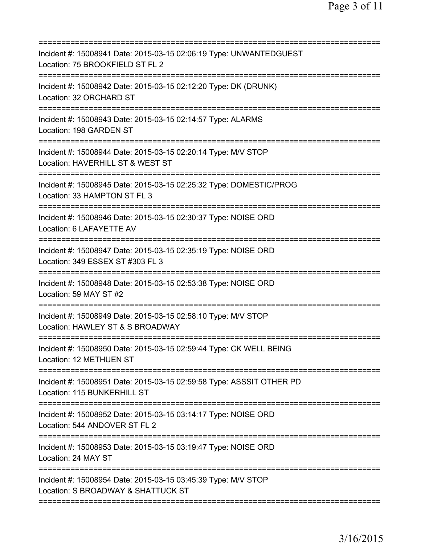| Incident #: 15008941 Date: 2015-03-15 02:06:19 Type: UNWANTEDGUEST<br>Location: 75 BROOKFIELD ST FL 2                         |
|-------------------------------------------------------------------------------------------------------------------------------|
| Incident #: 15008942 Date: 2015-03-15 02:12:20 Type: DK (DRUNK)<br>Location: 32 ORCHARD ST                                    |
| Incident #: 15008943 Date: 2015-03-15 02:14:57 Type: ALARMS<br>Location: 198 GARDEN ST                                        |
| Incident #: 15008944 Date: 2015-03-15 02:20:14 Type: M/V STOP<br>Location: HAVERHILL ST & WEST ST<br>======================== |
| Incident #: 15008945 Date: 2015-03-15 02:25:32 Type: DOMESTIC/PROG<br>Location: 33 HAMPTON ST FL 3                            |
| Incident #: 15008946 Date: 2015-03-15 02:30:37 Type: NOISE ORD<br>Location: 6 LAFAYETTE AV                                    |
| Incident #: 15008947 Date: 2015-03-15 02:35:19 Type: NOISE ORD<br>Location: 349 ESSEX ST #303 FL 3                            |
| Incident #: 15008948 Date: 2015-03-15 02:53:38 Type: NOISE ORD<br>Location: 59 MAY ST #2                                      |
| Incident #: 15008949 Date: 2015-03-15 02:58:10 Type: M/V STOP<br>Location: HAWLEY ST & S BROADWAY                             |
| Incident #: 15008950 Date: 2015-03-15 02:59:44 Type: CK WELL BEING<br>Location: 12 METHUEN ST                                 |
| Incident #: 15008951 Date: 2015-03-15 02:59:58 Type: ASSSIT OTHER PD<br>Location: 115 BUNKERHILL ST                           |
| Incident #: 15008952 Date: 2015-03-15 03:14:17 Type: NOISE ORD<br>Location: 544 ANDOVER ST FL 2<br>========================   |
| Incident #: 15008953 Date: 2015-03-15 03:19:47 Type: NOISE ORD<br>Location: 24 MAY ST                                         |
| Incident #: 15008954 Date: 2015-03-15 03:45:39 Type: M/V STOP<br>Location: S BROADWAY & SHATTUCK ST                           |
|                                                                                                                               |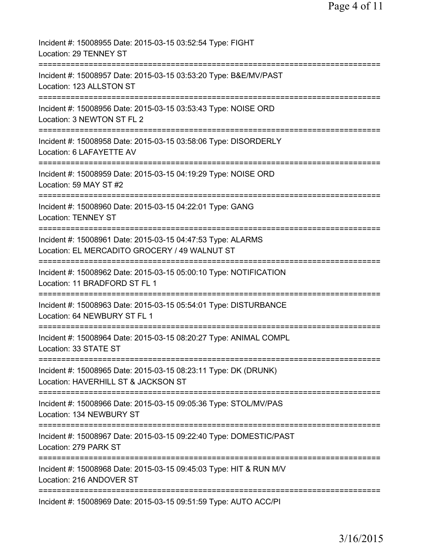| Incident #: 15008955 Date: 2015-03-15 03:52:54 Type: FIGHT<br>Location: 29 TENNEY ST                                       |
|----------------------------------------------------------------------------------------------------------------------------|
| Incident #: 15008957 Date: 2015-03-15 03:53:20 Type: B&E/MV/PAST<br>Location: 123 ALLSTON ST                               |
| Incident #: 15008956 Date: 2015-03-15 03:53:43 Type: NOISE ORD<br>Location: 3 NEWTON ST FL 2                               |
| Incident #: 15008958 Date: 2015-03-15 03:58:06 Type: DISORDERLY<br>Location: 6 LAFAYETTE AV                                |
| Incident #: 15008959 Date: 2015-03-15 04:19:29 Type: NOISE ORD<br>Location: 59 MAY ST #2                                   |
| Incident #: 15008960 Date: 2015-03-15 04:22:01 Type: GANG<br><b>Location: TENNEY ST</b>                                    |
| Incident #: 15008961 Date: 2015-03-15 04:47:53 Type: ALARMS<br>Location: EL MERCADITO GROCERY / 49 WALNUT ST               |
| Incident #: 15008962 Date: 2015-03-15 05:00:10 Type: NOTIFICATION<br>Location: 11 BRADFORD ST FL 1                         |
| Incident #: 15008963 Date: 2015-03-15 05:54:01 Type: DISTURBANCE<br>Location: 64 NEWBURY ST FL 1                           |
| Incident #: 15008964 Date: 2015-03-15 08:20:27 Type: ANIMAL COMPL<br>Location: 33 STATE ST                                 |
| Incident #: 15008965 Date: 2015-03-15 08:23:11 Type: DK (DRUNK)<br>Location: HAVERHILL ST & JACKSON ST                     |
| --------------------------<br>Incident #: 15008966 Date: 2015-03-15 09:05:36 Type: STOL/MV/PAS<br>Location: 134 NEWBURY ST |
| Incident #: 15008967 Date: 2015-03-15 09:22:40 Type: DOMESTIC/PAST<br>Location: 279 PARK ST                                |
| Incident #: 15008968 Date: 2015-03-15 09:45:03 Type: HIT & RUN M/V<br>Location: 216 ANDOVER ST                             |
| Incident #: 15008969 Date: 2015-03-15 09:51:59 Type: AUTO ACC/PI                                                           |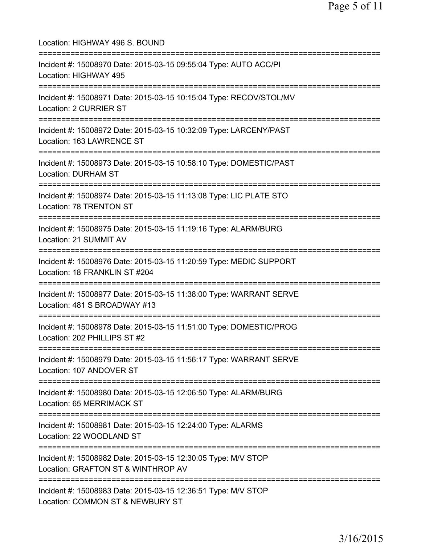| Location: HIGHWAY 496 S. BOUND<br>============================                                                                                                    |
|-------------------------------------------------------------------------------------------------------------------------------------------------------------------|
| Incident #: 15008970 Date: 2015-03-15 09:55:04 Type: AUTO ACC/PI<br>Location: HIGHWAY 495<br>====================================                                 |
| Incident #: 15008971 Date: 2015-03-15 10:15:04 Type: RECOV/STOL/MV<br><b>Location: 2 CURRIER ST</b>                                                               |
| Incident #: 15008972 Date: 2015-03-15 10:32:09 Type: LARCENY/PAST<br>Location: 163 LAWRENCE ST                                                                    |
| Incident #: 15008973 Date: 2015-03-15 10:58:10 Type: DOMESTIC/PAST<br><b>Location: DURHAM ST</b>                                                                  |
| :====================================<br>Incident #: 15008974 Date: 2015-03-15 11:13:08 Type: LIC PLATE STO<br>Location: 78 TRENTON ST                            |
| Incident #: 15008975 Date: 2015-03-15 11:19:16 Type: ALARM/BURG<br>Location: 21 SUMMIT AV                                                                         |
| Incident #: 15008976 Date: 2015-03-15 11:20:59 Type: MEDIC SUPPORT<br>Location: 18 FRANKLIN ST #204                                                               |
| Incident #: 15008977 Date: 2015-03-15 11:38:00 Type: WARRANT SERVE<br>Location: 481 S BROADWAY #13                                                                |
| Incident #: 15008978 Date: 2015-03-15 11:51:00 Type: DOMESTIC/PROG<br>Location: 202 PHILLIPS ST #2<br>======================================<br>================= |
| Incident #: 15008979 Date: 2015-03-15 11:56:17 Type: WARRANT SERVE<br>Location: 107 ANDOVER ST                                                                    |
| Incident #: 15008980 Date: 2015-03-15 12:06:50 Type: ALARM/BURG<br>Location: 65 MERRIMACK ST                                                                      |
| Incident #: 15008981 Date: 2015-03-15 12:24:00 Type: ALARMS<br>Location: 22 WOODLAND ST                                                                           |
| Incident #: 15008982 Date: 2015-03-15 12:30:05 Type: M/V STOP<br>Location: GRAFTON ST & WINTHROP AV                                                               |
| Incident #: 15008983 Date: 2015-03-15 12:36:51 Type: M/V STOP<br>Location: COMMON ST & NEWBURY ST                                                                 |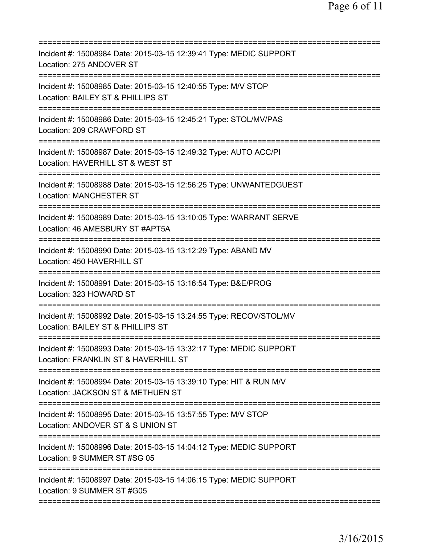| ========================                                                                                   |
|------------------------------------------------------------------------------------------------------------|
| Incident #: 15008984 Date: 2015-03-15 12:39:41 Type: MEDIC SUPPORT<br>Location: 275 ANDOVER ST             |
| Incident #: 15008985 Date: 2015-03-15 12:40:55 Type: M/V STOP<br>Location: BAILEY ST & PHILLIPS ST         |
| Incident #: 15008986 Date: 2015-03-15 12:45:21 Type: STOL/MV/PAS<br>Location: 209 CRAWFORD ST              |
| Incident #: 15008987 Date: 2015-03-15 12:49:32 Type: AUTO ACC/PI<br>Location: HAVERHILL ST & WEST ST       |
| Incident #: 15008988 Date: 2015-03-15 12:56:25 Type: UNWANTEDGUEST<br><b>Location: MANCHESTER ST</b>       |
| Incident #: 15008989 Date: 2015-03-15 13:10:05 Type: WARRANT SERVE<br>Location: 46 AMESBURY ST #APT5A      |
| Incident #: 15008990 Date: 2015-03-15 13:12:29 Type: ABAND MV<br>Location: 450 HAVERHILL ST                |
| Incident #: 15008991 Date: 2015-03-15 13:16:54 Type: B&E/PROG<br>Location: 323 HOWARD ST                   |
| Incident #: 15008992 Date: 2015-03-15 13:24:55 Type: RECOV/STOL/MV<br>Location: BAILEY ST & PHILLIPS ST    |
| Incident #: 15008993 Date: 2015-03-15 13:32:17 Type: MEDIC SUPPORT<br>Location: FRANKLIN ST & HAVERHILL ST |
| Incident #: 15008994 Date: 2015-03-15 13:39:10 Type: HIT & RUN M/V<br>Location: JACKSON ST & METHUEN ST    |
| Incident #: 15008995 Date: 2015-03-15 13:57:55 Type: M/V STOP<br>Location: ANDOVER ST & S UNION ST         |
| Incident #: 15008996 Date: 2015-03-15 14:04:12 Type: MEDIC SUPPORT<br>Location: 9 SUMMER ST #SG 05         |
| Incident #: 15008997 Date: 2015-03-15 14:06:15 Type: MEDIC SUPPORT<br>Location: 9 SUMMER ST #G05           |
|                                                                                                            |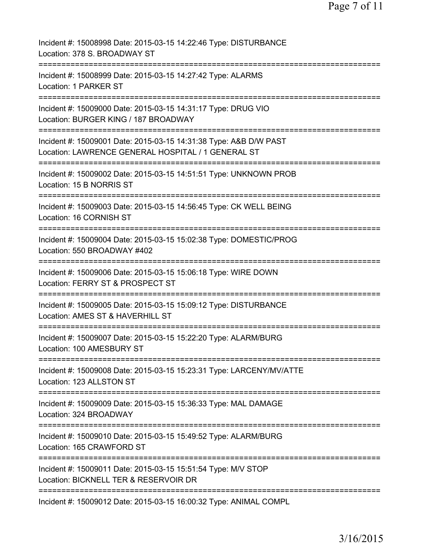| Incident #: 15008998 Date: 2015-03-15 14:22:46 Type: DISTURBANCE<br>Location: 378 S. BROADWAY ST                        |
|-------------------------------------------------------------------------------------------------------------------------|
| Incident #: 15008999 Date: 2015-03-15 14:27:42 Type: ALARMS<br>Location: 1 PARKER ST                                    |
| Incident #: 15009000 Date: 2015-03-15 14:31:17 Type: DRUG VIO<br>Location: BURGER KING / 187 BROADWAY                   |
| Incident #: 15009001 Date: 2015-03-15 14:31:38 Type: A&B D/W PAST<br>Location: LAWRENCE GENERAL HOSPITAL / 1 GENERAL ST |
| Incident #: 15009002 Date: 2015-03-15 14:51:51 Type: UNKNOWN PROB<br>Location: 15 B NORRIS ST                           |
| Incident #: 15009003 Date: 2015-03-15 14:56:45 Type: CK WELL BEING<br>Location: 16 CORNISH ST                           |
| Incident #: 15009004 Date: 2015-03-15 15:02:38 Type: DOMESTIC/PROG<br>Location: 550 BROADWAY #402<br>=========          |
| Incident #: 15009006 Date: 2015-03-15 15:06:18 Type: WIRE DOWN<br>Location: FERRY ST & PROSPECT ST                      |
| Incident #: 15009005 Date: 2015-03-15 15:09:12 Type: DISTURBANCE<br>Location: AMES ST & HAVERHILL ST                    |
| :=========<br>Incident #: 15009007 Date: 2015-03-15 15:22:20 Type: ALARM/BURG<br>Location: 100 AMESBURY ST              |
| Incident #: 15009008 Date: 2015-03-15 15:23:31 Type: LARCENY/MV/ATTE<br>Location: 123 ALLSTON ST                        |
| Incident #: 15009009 Date: 2015-03-15 15:36:33 Type: MAL DAMAGE<br>Location: 324 BROADWAY                               |
| Incident #: 15009010 Date: 2015-03-15 15:49:52 Type: ALARM/BURG<br>Location: 165 CRAWFORD ST                            |
| Incident #: 15009011 Date: 2015-03-15 15:51:54 Type: M/V STOP<br>Location: BICKNELL TER & RESERVOIR DR                  |
| ==========================<br>Incident #: 15009012 Date: 2015-03-15 16:00:32 Type: ANIMAL COMPL                         |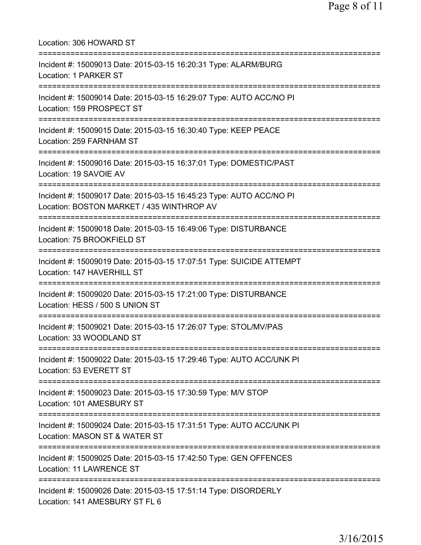| Location: 306 HOWARD ST                                                                                                                |
|----------------------------------------------------------------------------------------------------------------------------------------|
| Incident #: 15009013 Date: 2015-03-15 16:20:31 Type: ALARM/BURG<br>Location: 1 PARKER ST                                               |
| Incident #: 15009014 Date: 2015-03-15 16:29:07 Type: AUTO ACC/NO PI<br>Location: 159 PROSPECT ST                                       |
| Incident #: 15009015 Date: 2015-03-15 16:30:40 Type: KEEP PEACE<br>Location: 259 FARNHAM ST                                            |
| Incident #: 15009016 Date: 2015-03-15 16:37:01 Type: DOMESTIC/PAST<br>Location: 19 SAVOIE AV                                           |
| Incident #: 15009017 Date: 2015-03-15 16:45:23 Type: AUTO ACC/NO PI<br>Location: BOSTON MARKET / 435 WINTHROP AV                       |
| Incident #: 15009018 Date: 2015-03-15 16:49:06 Type: DISTURBANCE<br>Location: 75 BROOKFIELD ST                                         |
| Incident #: 15009019 Date: 2015-03-15 17:07:51 Type: SUICIDE ATTEMPT<br>Location: 147 HAVERHILL ST<br>-------------------------------- |
| Incident #: 15009020 Date: 2015-03-15 17:21:00 Type: DISTURBANCE<br>Location: HESS / 500 S UNION ST                                    |
| Incident #: 15009021 Date: 2015-03-15 17:26:07 Type: STOL/MV/PAS<br>Location: 33 WOODLAND ST                                           |
| Incident #: 15009022 Date: 2015-03-15 17:29:46 Type: AUTO ACC/UNK PI<br>Location: 53 EVERETT ST                                        |
| Incident #: 15009023 Date: 2015-03-15 17:30:59 Type: M/V STOP<br>Location: 101 AMESBURY ST                                             |
| Incident #: 15009024 Date: 2015-03-15 17:31:51 Type: AUTO ACC/UNK PI<br>Location: MASON ST & WATER ST                                  |
| Incident #: 15009025 Date: 2015-03-15 17:42:50 Type: GEN OFFENCES<br>Location: 11 LAWRENCE ST                                          |
| Incident #: 15009026 Date: 2015-03-15 17:51:14 Type: DISORDERLY<br>Location: 141 AMESBURY ST FL 6                                      |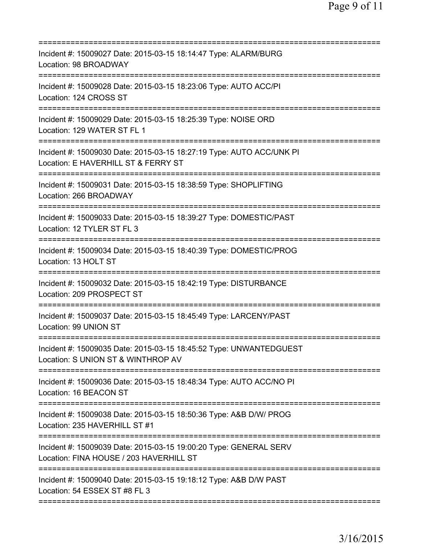| Incident #: 15009027 Date: 2015-03-15 18:14:47 Type: ALARM/BURG<br>Location: 98 BROADWAY                                      |
|-------------------------------------------------------------------------------------------------------------------------------|
| Incident #: 15009028 Date: 2015-03-15 18:23:06 Type: AUTO ACC/PI<br>Location: 124 CROSS ST                                    |
| Incident #: 15009029 Date: 2015-03-15 18:25:39 Type: NOISE ORD<br>Location: 129 WATER ST FL 1                                 |
| Incident #: 15009030 Date: 2015-03-15 18:27:19 Type: AUTO ACC/UNK PI<br>Location: E HAVERHILL ST & FERRY ST                   |
| Incident #: 15009031 Date: 2015-03-15 18:38:59 Type: SHOPLIFTING<br>Location: 266 BROADWAY                                    |
| Incident #: 15009033 Date: 2015-03-15 18:39:27 Type: DOMESTIC/PAST<br>Location: 12 TYLER ST FL 3                              |
| Incident #: 15009034 Date: 2015-03-15 18:40:39 Type: DOMESTIC/PROG<br>Location: 13 HOLT ST                                    |
| Incident #: 15009032 Date: 2015-03-15 18:42:19 Type: DISTURBANCE<br>Location: 209 PROSPECT ST                                 |
| Incident #: 15009037 Date: 2015-03-15 18:45:49 Type: LARCENY/PAST<br>Location: 99 UNION ST                                    |
| =================<br>Incident #: 15009035 Date: 2015-03-15 18:45:52 Type: UNWANTEDGUEST<br>Location: S UNION ST & WINTHROP AV |
| Incident #: 15009036 Date: 2015-03-15 18:48:34 Type: AUTO ACC/NO PI<br>Location: 16 BEACON ST                                 |
| Incident #: 15009038 Date: 2015-03-15 18:50:36 Type: A&B D/W/ PROG<br>Location: 235 HAVERHILL ST #1                           |
| Incident #: 15009039 Date: 2015-03-15 19:00:20 Type: GENERAL SERV<br>Location: FINA HOUSE / 203 HAVERHILL ST                  |
| Incident #: 15009040 Date: 2015-03-15 19:18:12 Type: A&B D/W PAST<br>Location: 54 ESSEX ST #8 FL 3                            |
|                                                                                                                               |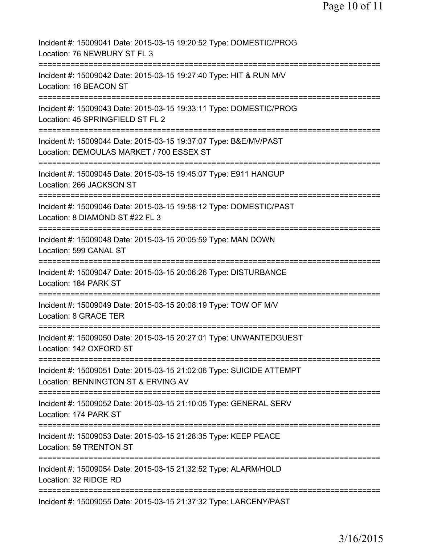| Incident #: 15009041 Date: 2015-03-15 19:20:52 Type: DOMESTIC/PROG<br>Location: 76 NEWBURY ST FL 3                        |
|---------------------------------------------------------------------------------------------------------------------------|
| Incident #: 15009042 Date: 2015-03-15 19:27:40 Type: HIT & RUN M/V<br>Location: 16 BEACON ST                              |
| Incident #: 15009043 Date: 2015-03-15 19:33:11 Type: DOMESTIC/PROG<br>Location: 45 SPRINGFIELD ST FL 2                    |
| Incident #: 15009044 Date: 2015-03-15 19:37:07 Type: B&E/MV/PAST<br>Location: DEMOULAS MARKET / 700 ESSEX ST              |
| =========================<br>Incident #: 15009045 Date: 2015-03-15 19:45:07 Type: E911 HANGUP<br>Location: 266 JACKSON ST |
| Incident #: 15009046 Date: 2015-03-15 19:58:12 Type: DOMESTIC/PAST<br>Location: 8 DIAMOND ST #22 FL 3                     |
| Incident #: 15009048 Date: 2015-03-15 20:05:59 Type: MAN DOWN<br>Location: 599 CANAL ST                                   |
| Incident #: 15009047 Date: 2015-03-15 20:06:26 Type: DISTURBANCE<br>Location: 184 PARK ST                                 |
| Incident #: 15009049 Date: 2015-03-15 20:08:19 Type: TOW OF M/V<br>Location: 8 GRACE TER                                  |
| Incident #: 15009050 Date: 2015-03-15 20:27:01 Type: UNWANTEDGUEST<br>Location: 142 OXFORD ST                             |
| Incident #: 15009051 Date: 2015-03-15 21:02:06 Type: SUICIDE ATTEMPT<br>Location: BENNINGTON ST & ERVING AV               |
| Incident #: 15009052 Date: 2015-03-15 21:10:05 Type: GENERAL SERV<br>Location: 174 PARK ST                                |
| Incident #: 15009053 Date: 2015-03-15 21:28:35 Type: KEEP PEACE<br>Location: 59 TRENTON ST                                |
| Incident #: 15009054 Date: 2015-03-15 21:32:52 Type: ALARM/HOLD<br>Location: 32 RIDGE RD                                  |
| Incident #: 15009055 Date: 2015-03-15 21:37:32 Type: LARCENY/PAST                                                         |